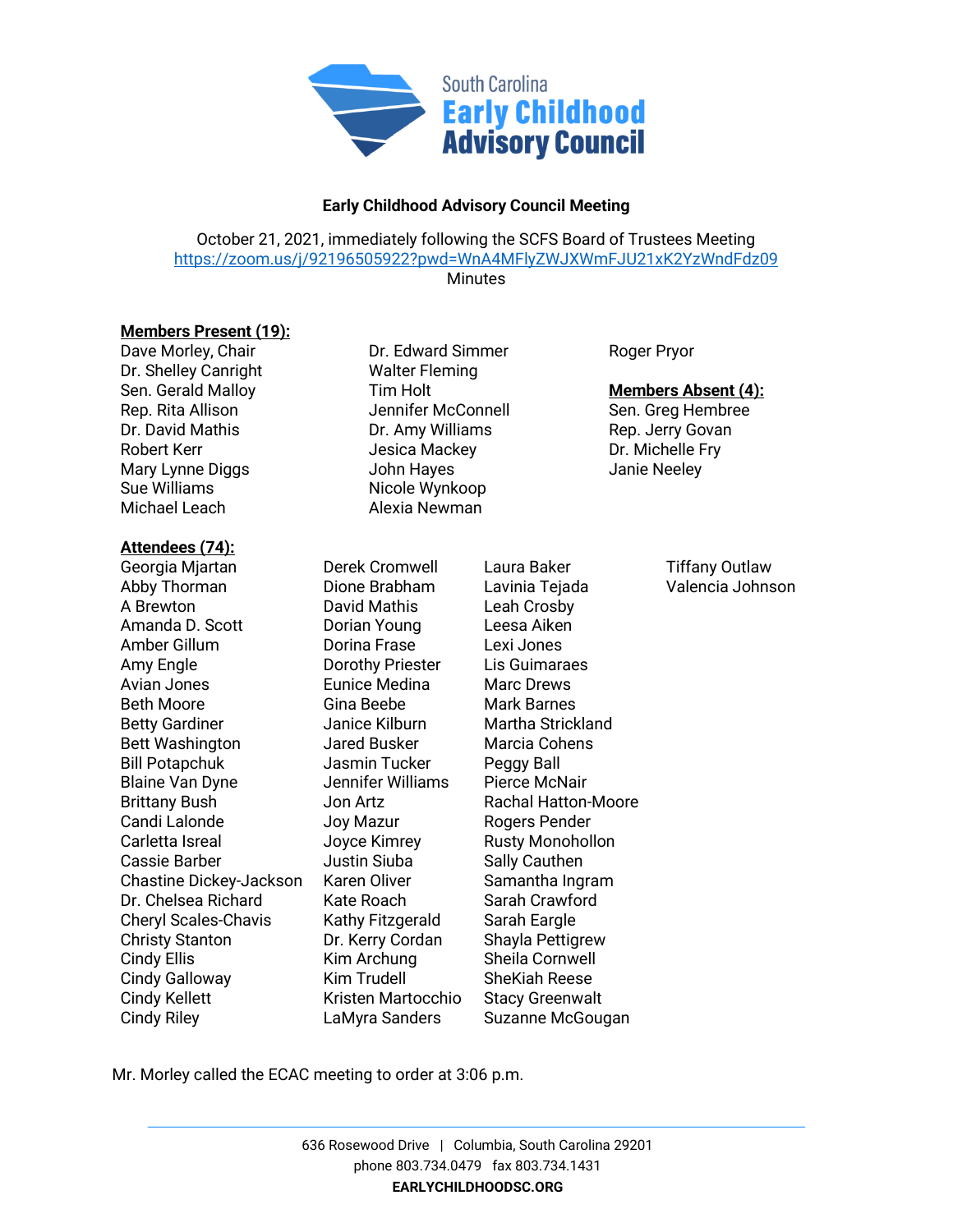

## **Early Childhood Advisory Council Meeting**

October 21, 2021, immediately following the SCFS Board of Trustees Meeting <https://zoom.us/j/92196505922?pwd=WnA4MFlyZWJXWmFJU21xK2YzWndFdz09>

**Minutes** 

## **Members Present (19):**

Dave Morley, Chair **Dr. Edward Simmer** Roger Pryor Dr. Shelley Canright Walter Fleming Rep. Rita Allison **Network** Jennifer McConnell Sen. Greg Hembree Dr. David Mathis **Dr. Amy Williams** Rep. Jerry Govan Robert Kerr The Tessica Mackey The Dr. Michelle Fry Mary Lynne Diggs The Superior John Hayes The Superior Superior Janie Neeley Sue Williams Nicole Wynkoop Michael Leach **Alexia Newman** 

## **Attendees (74):**

Georgia Mjartan **Derek Cromwell** Laura Baker **Tiffany Outlaw** Abby Thorman Dione Brabham Lavinia Tejada Valencia Johnson A Brewton David Mathis Leah Crosby Amanda D. Scott Dorian Young Leesa Aiken Amber Gillum Dorina Frase Lexi Jones Amy Engle Dorothy Priester Lis Guimaraes Avian Jones Eunice Medina Marc Drews Beth Moore **Gina Beebe** Mark Barnes Betty Gardiner **Internal Strickland** Janice Kilburn Martha Strickland Bett Washington **Jared Busker** Marcia Cohens Bill Potapchuk Jasmin Tucker Peggy Ball Blaine Van Dyne Jennifer Williams Pierce McNair Brittany Bush Jon Artz Rachal Hatton-Moore Candi Lalonde **Joy Mazur** Rogers Pender Carletta Isreal **Source Kimrey** Rusty Monohollon Cassie Barber **Cassie Barber** Justin Siuba Sally Cauthen Chastine Dickey-Jackson Karen Oliver Samantha Ingram Dr. Chelsea Richard Kate Roach Sarah Crawford Cheryl Scales-Chavis Kathy Fitzgerald Sarah Eargle Christy Stanton Dr. Kerry Cordan Shayla Pettigrew Cindy Ellis **Kim Archung** Sheila Cornwell Cindy Galloway **Kim Trudell** SheKiah Reese Cindy Kellett **Kristen Martocchio** Stacy Greenwalt Cindy Riley **Cindy Riley** LaMyra Sanders Suzanne McGougan

Sen. Gerald Malloy Tim Holt **Members Absent (4):**

Mr. Morley called the ECAC meeting to order at 3:06 p.m.